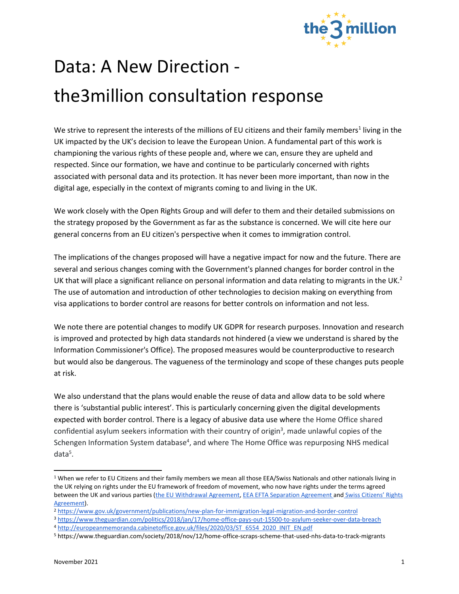

## Data: A New Direction the3million consultation response

We strive to represent the interests of the millions of EU citizens and their family members<sup>1</sup> living in the UK impacted by the UK's decision to leave the European Union. A fundamental part of this work is championing the various rights of these people and, where we can, ensure they are upheld and respected. Since our formation, we have and continue to be particularly concerned with rights associated with personal data and its protection. It has never been more important, than now in the digital age, especially in the context of migrants coming to and living in the UK.

We work closely with the Open Rights Group and will defer to them and their detailed submissions on the strategy proposed by the Government as far as the substance is concerned. We will cite here our general concerns from an EU citizen's perspective when it comes to immigration control.

The implications of the changes proposed will have a negative impact for now and the future. There are several and serious changes coming with the Government's planned changes for border control in the UK that will place a significant reliance on personal information and data relating to migrants in the UK.<sup>2</sup> The use of automation and introduction of other technologies to decision making on everything from visa applications to border control are reasons for better controls on information and not less.

We note there are potential changes to modify UK GDPR for research purposes. Innovation and research is improved and protected by high data standards not hindered (a view we understand is shared by the Information Commissioner's Office). The proposed measures would be counterproductive to research but would also be dangerous. The vagueness of the terminology and scope of these changes puts people at risk.

We also understand that the plans would enable the reuse of data and allow data to be sold where there is 'substantial public interest'. This is particularly concerning given the digital developments expected with border control. There is a legacy of abusive data use where [the Home Office shared](https://www.theguardian.com/politics/2018/jan/17/home-office-pays-out-15500-to-asylum-seeker-over-data-breach)  [confidential asylum seekers information with their country of origin](https://www.theguardian.com/politics/2018/jan/17/home-office-pays-out-15500-to-asylum-seeker-over-data-breach)<sup>3</sup>, made unlawful copies of the [Schengen Information System database](http://europeanmemoranda.cabinetoffice.gov.uk/files/2020/03/ST_6554_2020_INIT_EN.pdf)<sup>4</sup>, and where The Home Office was repurposing NHS medical [data](https://www.theguardian.com/society/2018/nov/12/home-office-scraps-scheme-that-used-nhs-data-to-track-migrants)<sup>5</sup>.

<sup>&</sup>lt;sup>1</sup> When we refer to EU Citizens and their family members we mean all those EEA/Swiss Nationals and other nationals living in the UK relying on rights under the EU framework of freedom of movement, who now have rights under the terms agreed between the UK and various parties [\(the EU Withdrawal Agreement,](https://ec.europa.eu/commission/presscorner/detail/en/STATEMENT_21_822) [EEA EFTA Separation Agreement a](https://www.gov.uk/government/news/eea-efta-separation-agreement)nd Swiss Citizens' Rights [Agreement\)](https://www.gov.uk/government/news/swiss-citizens-rights-agreement).

<sup>2</sup> <https://www.gov.uk/government/publications/new-plan-for-immigration-legal-migration-and-border-control>

<sup>3</sup> <https://www.theguardian.com/politics/2018/jan/17/home-office-pays-out-15500-to-asylum-seeker-over-data-breach>

<sup>4</sup> [http://europeanmemoranda.cabinetoffice.gov.uk/files/2020/03/ST\\_6554\\_2020\\_INIT\\_EN.pdf](http://europeanmemoranda.cabinetoffice.gov.uk/files/2020/03/ST_6554_2020_INIT_EN.pdf) 

<sup>5</sup> <https://www.theguardian.com/society/2018/nov/12/home-office-scraps-scheme-that-used-nhs-data-to-track-migrants>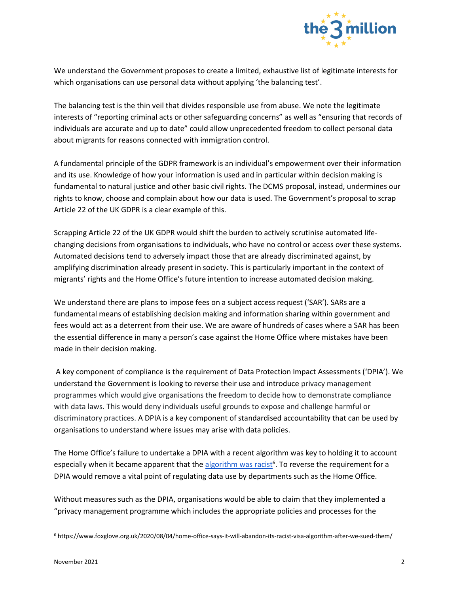

We understand the Government proposes to create a limited, exhaustive list of legitimate interests for which organisations can use personal data without applying 'the balancing test'.

The balancing test is the thin veil that divides responsible use from abuse. We note the legitimate interests of "reporting criminal acts or other safeguarding concerns" as well as "ensuring that records of individuals are accurate and up to date" could allow unprecedented freedom to collect personal data about migrants for reasons connected with immigration control.

A fundamental principle of the GDPR framework is an individual's empowerment over their information and its use. Knowledge of how your information is used and in particular within decision making is fundamental to natural justice and other basic civil rights. The DCMS proposal, instead, undermines our rights to know, choose and complain about how our data is used. The Government's proposal to scrap Article 22 of the UK GDPR is a clear example of this.

Scrapping Article 22 of the UK GDPR would shift the burden to actively scrutinise automated lifechanging decisions from organisations to individuals, who have no control or access over these systems. Automated decisions tend to adversely impact those that are already discriminated against, by amplifying discrimination already present in society. This is particularly important in the context of migrants' rights and the Home Office's future intention to increase automated decision making.

We understand there are plans to impose fees on a subject access request ('SAR'). SARs are a fundamental means of establishing decision making and information sharing within government and fees would act as a deterrent from their use. We are aware of hundreds of cases where a SAR has been the essential difference in many a person's case against the Home Office where mistakes have been made in their decision making.

A key component of compliance is the requirement of Data Protection Impact Assessments ('DPIA'). We understand the Government is looking to reverse their use and introduce privacy management programmes which would give organisations the freedom to decide how to demonstrate compliance with data laws. This would deny individuals useful grounds to expose and challenge harmful or discriminatory practices. A DPIA is a key component of standardised accountability that can be used by organisations to understand where issues may arise with data policies.

The Home Office's failure to undertake a DPIA with a recent algorithm was key to holding it to account especially when it became apparent that the **algorithm was racist<sup>6</sup>. To reverse the requirement for a** DPIA would remove a vital point of regulating data use by departments such as the Home Office.

Without measures such as the DPIA, organisations would be able to claim that they implemented a "privacy management programme which includes the appropriate policies and processes for the

<sup>6</sup> <https://www.foxglove.org.uk/2020/08/04/home-office-says-it-will-abandon-its-racist-visa-algorithm-after-we-sued-them/>